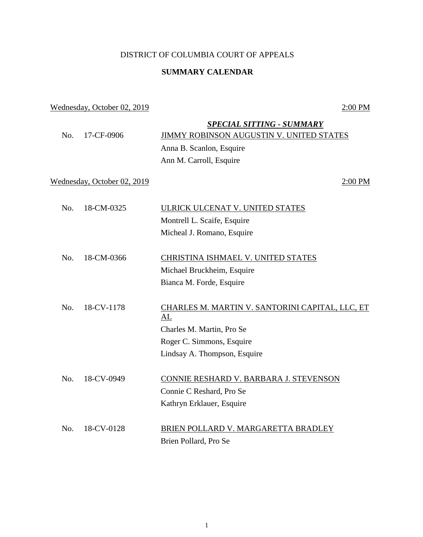## DISTRICT OF COLUMBIA COURT OF APPEALS

## **SUMMARY CALENDAR**

## Wednesday, October 02, 2019 2:00 PM

|                             |            | <b>SPECIAL SITTING - SUMMARY</b>                      |
|-----------------------------|------------|-------------------------------------------------------|
| No.                         | 17-CF-0906 | <b>JIMMY ROBINSON AUGUSTIN V. UNITED STATES</b>       |
|                             |            | Anna B. Scanlon, Esquire                              |
|                             |            | Ann M. Carroll, Esquire                               |
| Wednesday, October 02, 2019 |            | 2:00 PM                                               |
| No.                         | 18-CM-0325 | ULRICK ULCENAT V. UNITED STATES                       |
|                             |            | Montrell L. Scaife, Esquire                           |
|                             |            | Micheal J. Romano, Esquire                            |
|                             |            |                                                       |
| No.                         | 18-CM-0366 | CHRISTINA ISHMAEL V. UNITED STATES                    |
|                             |            | Michael Bruckheim, Esquire                            |
|                             |            | Bianca M. Forde, Esquire                              |
| No.                         | 18-CV-1178 | CHARLES M. MARTIN V. SANTORINI CAPITAL, LLC, ET<br>AL |
|                             |            | Charles M. Martin, Pro Se                             |
|                             |            | Roger C. Simmons, Esquire                             |
|                             |            | Lindsay A. Thompson, Esquire                          |
| No.                         | 18-CV-0949 | CONNIE RESHARD V. BARBARA J. STEVENSON                |
|                             |            | Connie C Reshard, Pro Se                              |
|                             |            | Kathryn Erklauer, Esquire                             |
|                             |            |                                                       |
| No.                         | 18-CV-0128 | BRIEN POLLARD V. MARGARETTA BRADLEY                   |
|                             |            | Brien Pollard, Pro Se                                 |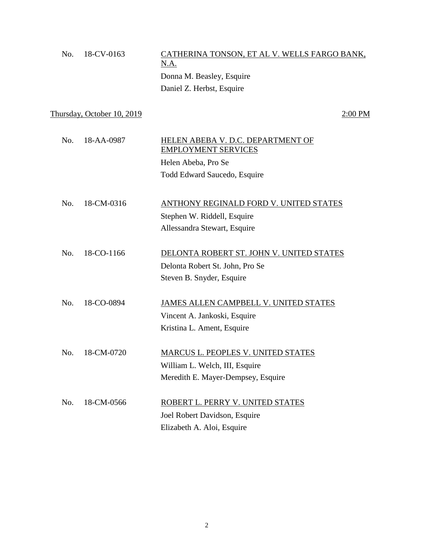| No. | 18-CV-0163 | CATHERINA TONSON, ET AL V. WELLS FARGO BANK, |
|-----|------------|----------------------------------------------|
|     |            | <u>N.A.</u>                                  |
|     |            | Donna M. Beasley, Esquire                    |
|     |            | Daniel Z. Herbst, Esquire                    |
|     |            |                                              |

 $Thursday, October 10, 2019$   $2:00 PM$ 

| No. | 18-AA-0987 | HELEN ABEBA V. D.C. DEPARTMENT OF<br><b>EMPLOYMENT SERVICES</b> |
|-----|------------|-----------------------------------------------------------------|
|     |            | Helen Abeba, Pro Se                                             |
|     |            | Todd Edward Saucedo, Esquire                                    |
|     |            |                                                                 |
| No. | 18-CM-0316 | ANTHONY REGINALD FORD V. UNITED STATES                          |
|     |            | Stephen W. Riddell, Esquire                                     |
|     |            | Allessandra Stewart, Esquire                                    |

- No. 18-CO-1166 DELONTA ROBERT ST. JOHN V. UNITED STATES Delonta Robert St. John, Pro Se Steven B. Snyder, Esquire
- No. 18-CO-0894 JAMES ALLEN CAMPBELL V. UNITED STATES Vincent A. Jankoski, Esquire Kristina L. Ament, Esquire
- No. 18-CM-0720 MARCUS L. PEOPLES V. UNITED STATES William L. Welch, III, Esquire Meredith E. Mayer-Dempsey, Esquire

| No. 18-CM-0566 | ROBERT L. PERRY V. UNITED STATES |
|----------------|----------------------------------|
|                | Joel Robert Davidson, Esquire    |
|                | Elizabeth A. Aloi, Esquire       |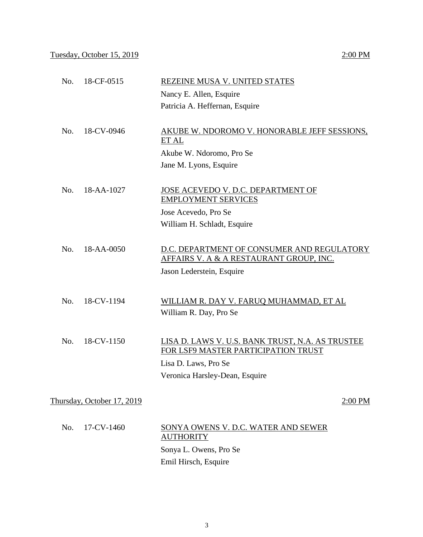| No. | 18-CF-0515                 | REZEINE MUSA V. UNITED STATES                                                                                                                                                                                                                                                                                                                       |
|-----|----------------------------|-----------------------------------------------------------------------------------------------------------------------------------------------------------------------------------------------------------------------------------------------------------------------------------------------------------------------------------------------------|
|     |                            | Nancy E. Allen, Esquire                                                                                                                                                                                                                                                                                                                             |
|     |                            | Patricia A. Heffernan, Esquire                                                                                                                                                                                                                                                                                                                      |
| No. | 18-CV-0946                 | AKUBE W. NDOROMO V. HONORABLE JEFF SESSIONS,<br>ET AL                                                                                                                                                                                                                                                                                               |
|     |                            | Akube W. Ndoromo, Pro Se                                                                                                                                                                                                                                                                                                                            |
|     |                            | Jane M. Lyons, Esquire                                                                                                                                                                                                                                                                                                                              |
| No. | 18-AA-1027                 | JOSE ACEVEDO V. D.C. DEPARTMENT OF<br><b>EMPLOYMENT SERVICES</b>                                                                                                                                                                                                                                                                                    |
|     |                            | Jose Acevedo, Pro Se                                                                                                                                                                                                                                                                                                                                |
|     |                            | William H. Schladt, Esquire                                                                                                                                                                                                                                                                                                                         |
| No. | 18-AA-0050                 | D.C. DEPARTMENT OF CONSUMER AND REGULATORY<br><u>AFFAIRS V. A &amp; A RESTAURANT GROUP, INC.</u><br>Jason Lederstein, Esquire                                                                                                                                                                                                                       |
| No. | 18-CV-1194                 | WILLIAM R. DAY V. FARUQ MUHAMMAD, ET AL<br>William R. Day, Pro Se                                                                                                                                                                                                                                                                                   |
| No. | 18-CV-1150                 | LISA D. LAWS V. U.S. BANK TRUST, N.A. AS TRUSTEE<br>FOR LSF9 MASTER PARTICIPATION TRUST<br>Lisa D. Laws, Pro Se<br>Veronica Harsley-Dean, Esquire                                                                                                                                                                                                   |
|     | Thursday, October 17, 2019 | 2:00 PM                                                                                                                                                                                                                                                                                                                                             |
| No. | 17-CV-1460                 | SONYA OWENS V. D.C. WATER AND SEWER<br><b>AUTHORITY</b>                                                                                                                                                                                                                                                                                             |
|     |                            | $\mathcal{C}$ and $\mathcal{C}$ $\mathcal{C}$ $\mathcal{C}$ $\mathcal{C}$ $\mathcal{C}$ $\mathcal{C}$ $\mathcal{C}$ $\mathcal{C}$ $\mathcal{C}$ $\mathcal{C}$ $\mathcal{C}$ $\mathcal{C}$ $\mathcal{C}$ $\mathcal{C}$ $\mathcal{C}$ $\mathcal{C}$ $\mathcal{C}$ $\mathcal{C}$ $\mathcal{C}$ $\mathcal{C}$ $\mathcal{C}$ $\mathcal{C}$ $\mathcal{C}$ |

Sonya L. Owens, Pro Se Emil Hirsch, Esquire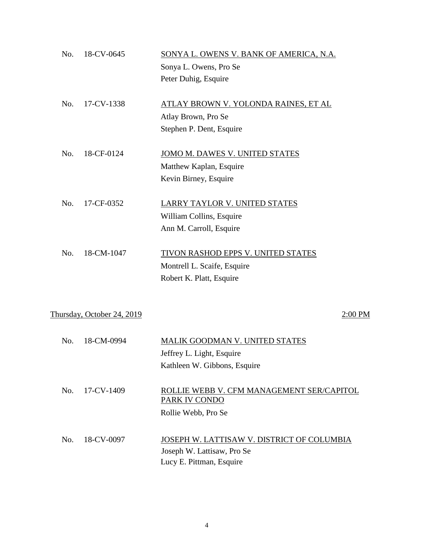| No. | 18-CV-0645                 | SONYA L. OWENS V. BANK OF AMERICA, N.A.<br>Sonya L. Owens, Pro Se<br>Peter Duhig, Esquire            |
|-----|----------------------------|------------------------------------------------------------------------------------------------------|
| No. | 17-CV-1338                 | ATLAY BROWN V. YOLONDA RAINES, ET AL<br>Atlay Brown, Pro Se<br>Stephen P. Dent, Esquire              |
| No. | 18-CF-0124                 | JOMO M. DAWES V. UNITED STATES<br>Matthew Kaplan, Esquire<br>Kevin Birney, Esquire                   |
| No. | 17-CF-0352                 | LARRY TAYLOR V. UNITED STATES<br>William Collins, Esquire<br>Ann M. Carroll, Esquire                 |
| No. | 18-CM-1047                 | TIVON RASHOD EPPS V. UNITED STATES<br>Montrell L. Scaife, Esquire<br>Robert K. Platt, Esquire        |
|     | Thursday, October 24, 2019 | 2:00 PM                                                                                              |
| No. | 18-CM-0994                 | MALIK GOODMAN V. UNITED STATES<br>Jeffrey L. Light, Esquire<br>Kathleen W. Gibbons, Esquire          |
| No. | 17-CV-1409                 | ROLLIE WEBB V. CFM MANAGEMENT SER/CAPITOL<br>PARK IV CONDO<br>Rollie Webb, Pro Se                    |
| No. | 18-CV-0097                 | JOSEPH W. LATTISAW V. DISTRICT OF COLUMBIA<br>Joseph W. Lattisaw, Pro Se<br>Lucy E. Pittman, Esquire |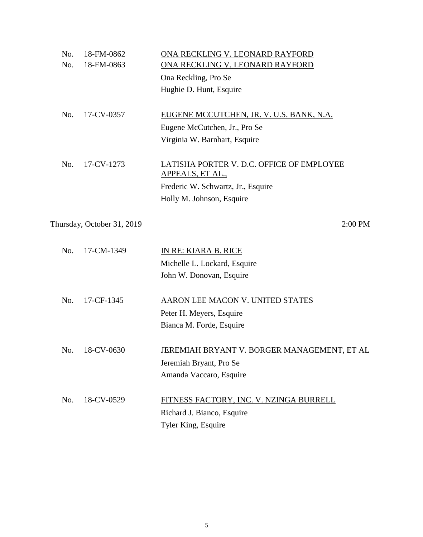| No. | 18-FM-0862                 | ONA RECKLING V. LEONARD RAYFORD                    |
|-----|----------------------------|----------------------------------------------------|
| No. | 18-FM-0863                 | ONA RECKLING V. LEONARD RAYFORD                    |
|     |                            | Ona Reckling, Pro Se                               |
|     |                            | Hughie D. Hunt, Esquire                            |
|     |                            |                                                    |
| No. | 17-CV-0357                 | EUGENE MCCUTCHEN, JR. V. U.S. BANK, N.A.           |
|     |                            | Eugene McCutchen, Jr., Pro Se                      |
|     |                            | Virginia W. Barnhart, Esquire                      |
|     |                            |                                                    |
| No. | 17-CV-1273                 | LATISHA PORTER V. D.C. OFFICE OF EMPLOYEE          |
|     |                            | APPEALS, ET AL.,                                   |
|     |                            | Frederic W. Schwartz, Jr., Esquire                 |
|     |                            | Holly M. Johnson, Esquire                          |
|     |                            |                                                    |
|     | Thursday, October 31, 2019 | 2:00 PM                                            |
|     |                            |                                                    |
| No. | 17-CM-1349                 | IN RE: KIARA B. RICE                               |
|     |                            | Michelle L. Lockard, Esquire                       |
|     |                            | John W. Donovan, Esquire                           |
|     |                            |                                                    |
| No. | 17-CF-1345                 | AARON LEE MACON V. UNITED STATES                   |
|     |                            | Peter H. Meyers, Esquire                           |
|     |                            | Bianca M. Forde, Esquire                           |
|     |                            |                                                    |
| No. | 18-CV-0630                 | <u>JEREMIAH BRYANT V. BORGER MANAGEMENT, ET AL</u> |
|     |                            | Jeremiah Bryant, Pro Se                            |
|     |                            | Amanda Vaccaro, Esquire                            |
|     |                            |                                                    |
| No. | 18-CV-0529                 | FITNESS FACTORY, INC. V. NZINGA BURRELL            |
|     |                            | Richard J. Bianco, Esquire                         |
|     |                            | Tyler King, Esquire                                |